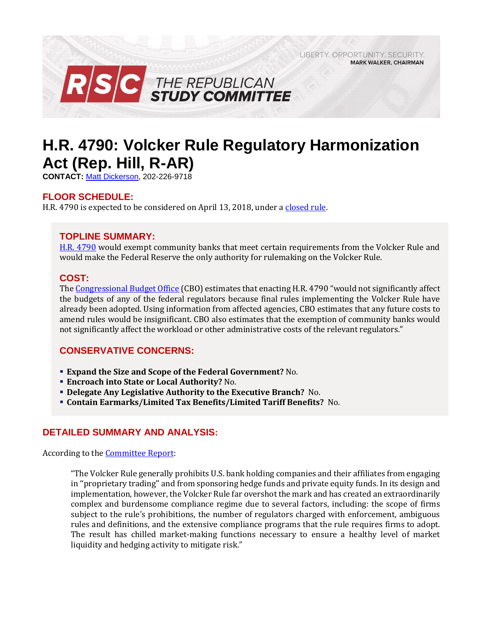LIBERTY, OPPORTUNITY, SECURITY, **MARK WALKER, CHAIRMAN** 



# **H.R. 4790: Volcker Rule Regulatory Harmonization Act (Rep. Hill, R-AR)**

**CONTACT:** [Matt Dickerson,](mailto:Matthew.Dickerson@mail.house.gov) 202-226-9718

# **FLOOR SCHEDULE:**

H.R. 4790 is expected to be considered on April 13, 2018, under a [closed rule.](https://rules.house.gov/bill/115/hr-4790) 

# **TOPLINE SUMMARY:**

[H.R. 4790](http://docs.house.gov/billsthisweek/20180409/BILLS-115HR4790-RCP115-67.pdf) would exempt community banks that meet certain requirements from the Volcker Rule and would make the Federal Reserve the only authority for rulemaking on the Volcker Rule.

## **COST:**

The [Congressional Budget Office](https://www.cbo.gov/system/files/115th-congress-2017-2018/costestimate/hr4790.pdf) (CBO) estimates that enacting H.R. 4790 "would not significantly affect the budgets of any of the federal regulators because final rules implementing the Volcker Rule have already been adopted. Using information from affected agencies, CBO estimates that any future costs to amend rules would be insignificant. CBO also estimates that the exemption of community banks would not significantly affect the workload or other administrative costs of the relevant regulators."

# **CONSERVATIVE CONCERNS:**

- **Expand the Size and Scope of the Federal Government?** No.
- **Encroach into State or Local Authority?** No.
- **Delegate Any Legislative Authority to the Executive Branch?** No.
- **Contain Earmarks/Limited Tax Benefits/Limited Tariff Benefits?** No.

# **DETAILED SUMMARY AND ANALYSIS:**

According to th[e Committee Report:](https://www.gpo.gov/fdsys/pkg/CRPT-115hrpt621/pdf/CRPT-115hrpt621.pdf)

"The Volcker Rule generally prohibits U.S. bank holding companies and their affiliates from engaging in ''proprietary trading'' and from sponsoring hedge funds and private equity funds. In its design and implementation, however, the Volcker Rule far overshot the mark and has created an extraordinarily complex and burdensome compliance regime due to several factors, including: the scope of firms subject to the rule's prohibitions, the number of regulators charged with enforcement, ambiguous rules and definitions, and the extensive compliance programs that the rule requires firms to adopt. The result has chilled market-making functions necessary to ensure a healthy level of market liquidity and hedging activity to mitigate risk."